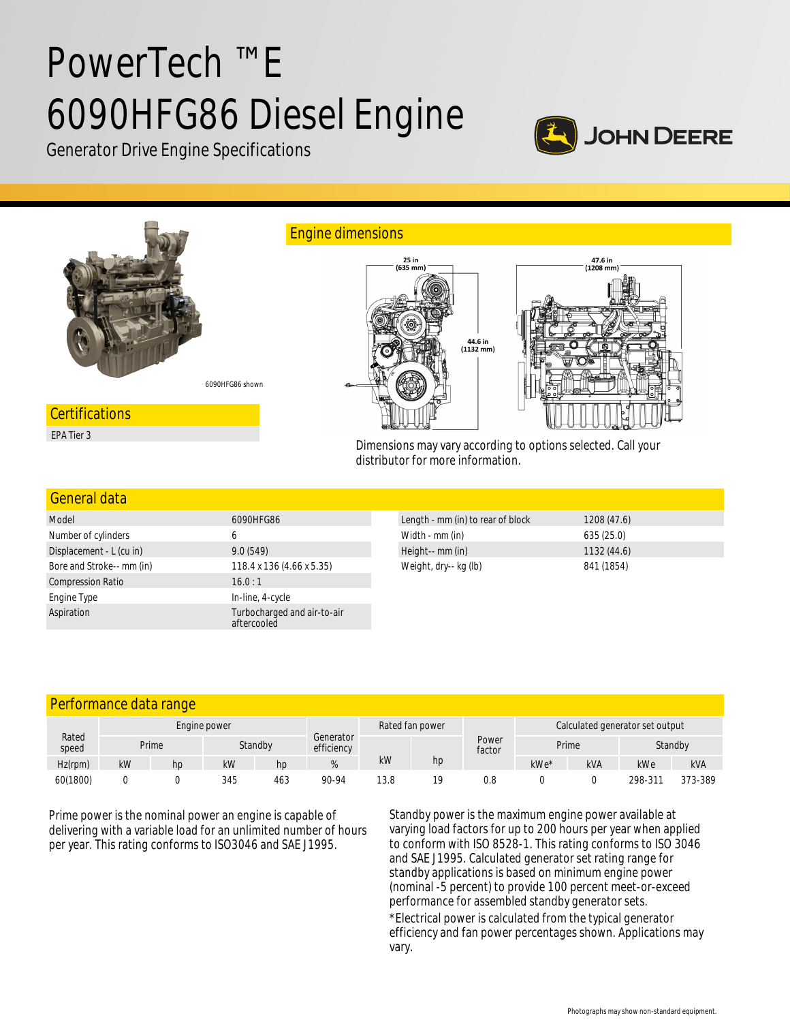# PowerTech ™ E 6090HFG86 Diesel Engine



Generator Drive Engine Specifications



Dimensions may vary according to options selected. Call your distributor for more information.

#### General data

| Model                     | 6090HFG86                                  |
|---------------------------|--------------------------------------------|
| Number of cylinders       | 6                                          |
| Displacement - L (cu in)  | 9.0(549)                                   |
| Bore and Stroke-- mm (in) | 118.4 x 136 (4.66 x 5.35)                  |
| <b>Compression Ratio</b>  | 16.0:1                                     |
| Engine Type               | In-line, 4-cycle                           |
| Aspiration                | Turbocharged and air-to-air<br>aftercooled |

| Length - mm (in) to rear of block | 1208(47.6) |
|-----------------------------------|------------|
| Width - mm (in)                   | 635(25.0)  |
| Height-- mm (in)                  | 1132(44.6) |
| Weight, dry-- kg (lb)             | 841 (1854) |

# Performance data range

| Rated<br>speed | Engine power |                  |     |                         |       | Rated fan power |                 |                  | Calculated generator set output |     |         |            |
|----------------|--------------|------------------|-----|-------------------------|-------|-----------------|-----------------|------------------|---------------------------------|-----|---------|------------|
|                |              | Prime<br>Standby |     | Generator<br>efficiency |       |                 | Power<br>factor | Prime<br>Standby |                                 |     |         |            |
| Hz(rpm)        | kW           | hp               | kW  | hp                      |       | kW              | hp              |                  | kWe*                            | kVA | kWe     | <b>kVA</b> |
| 60(1800)       |              |                  | 345 | 463                     | 90-94 | 13.8            | 19              | 0.8              |                                 |     | 298-311 | 373-389    |

Prime power is the nominal power an engine is capable of delivering with a variable load for an unlimited number of hours per year. This rating conforms to ISO3046 and SAE J1995.

Standby power is the maximum engine power available at varying load factors for up to 200 hours per year when applied to conform with ISO 8528-1. This rating conforms to ISO 3046 and SAE J1995. Calculated generator set rating range for standby applications is based on minimum engine power (nominal -5 percent) to provide 100 percent meet-or-exceed performance for assembled standby generator sets. \*Electrical power is calculated from the typical generator efficiency and fan power percentages shown. Applications may vary.